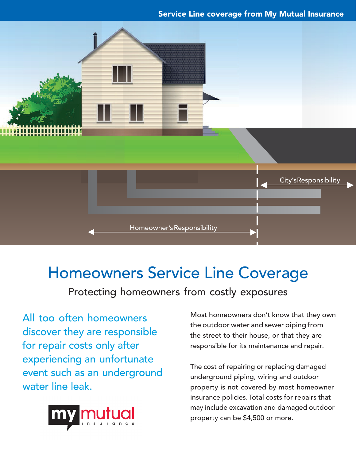### Service Line coverage from My Mutual Insurance



# Homeowners Service Line Coverage

Protecting homeowners from costly exposures

All too often homeowners discover they are responsible for repair costs only after experiencing an unfortunate event such as an underground water line leak.



Most homeowners don't know that they own the outdoor water and sewer piping from the street to their house, or that they are responsible for its maintenance and repair.

The cost of repairing or replacing damaged underground piping, wiring and outdoor property is not covered by most homeowner insurance policies. Total costs for repairs that may include excavation and damaged outdoor property can be \$4,500 or more.